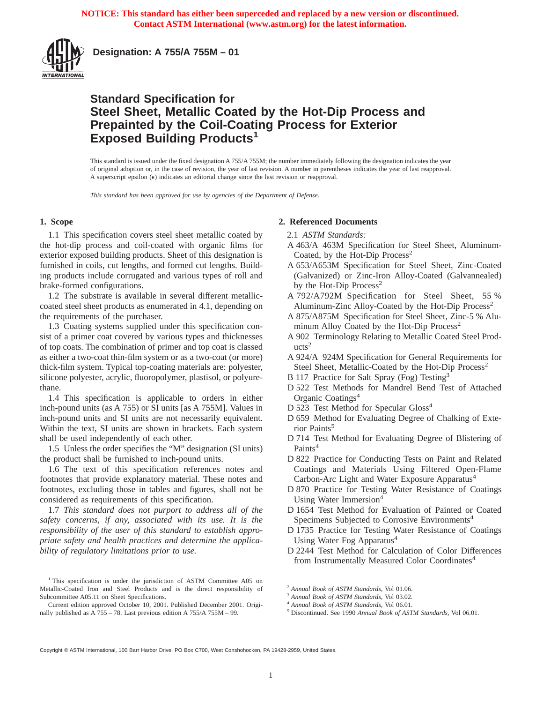

**Designation: A 755/A 755M – 01**

## **Standard Specification for Steel Sheet, Metallic Coated by the Hot-Dip Process and Prepainted by the Coil-Coating Process for Exterior Exposed Building Products<sup>1</sup>**

This standard is issued under the fixed designation A 755/A 755M; the number immediately following the designation indicates the year of original adoption or, in the case of revision, the year of last revision. A number in parentheses indicates the year of last reapproval. A superscript epsilon  $(\epsilon)$  indicates an editorial change since the last revision or reapproval.

*This standard has been approved for use by agencies of the Department of Defense.*

#### **1. Scope**

1.1 This specification covers steel sheet metallic coated by the hot-dip process and coil-coated with organic films for exterior exposed building products. Sheet of this designation is furnished in coils, cut lengths, and formed cut lengths. Building products include corrugated and various types of roll and brake-formed configurations.

1.2 The substrate is available in several different metalliccoated steel sheet products as enumerated in 4.1, depending on the requirements of the purchaser.

1.3 Coating systems supplied under this specification consist of a primer coat covered by various types and thicknesses of top coats. The combination of primer and top coat is classed as either a two-coat thin-film system or as a two-coat (or more) thick-film system. Typical top-coating materials are: polyester, silicone polyester, acrylic, fluoropolymer, plastisol, or polyurethane.

1.4 This specification is applicable to orders in either inch-pound units (as A 755) or SI units [as A 755M]. Values in inch-pound units and SI units are not necessarily equivalent. Within the text, SI units are shown in brackets. Each system shall be used independently of each other.

1.5 Unless the order specifies the "M" designation (SI units) the product shall be furnished to inch-pound units.

1.6 The text of this specification references notes and footnotes that provide explanatory material. These notes and footnotes, excluding those in tables and figures, shall not be considered as requirements of this specification.

1.7 *This standard does not purport to address all of the safety concerns, if any, associated with its use. It is the responsibility of the user of this standard to establish appropriate safety and health practices and determine the applicability of regulatory limitations prior to use.*

#### **2. Referenced Documents**

#### 2.1 *ASTM Standards:*

- A 463/A 463M Specification for Steel Sheet, Aluminum-Coated, by the Hot-Dip Process<sup>2</sup>
- A 653/A653M Specification for Steel Sheet, Zinc-Coated (Galvanized) or Zinc-Iron Alloy-Coated (Galvannealed) by the Hot-Dip Process<sup>2</sup>
- A 792/A792M Specification for Steel Sheet, 55 % Aluminum-Zinc Alloy-Coated by the Hot-Dip Process<sup>2</sup>
- A 875/A875M Specification for Steel Sheet, Zinc-5 % Aluminum Alloy Coated by the Hot-Dip Process<sup>2</sup>
- A 902 Terminology Relating to Metallic Coated Steel Prod $ucts<sup>2</sup>$
- A 924/A 924M Specification for General Requirements for Steel Sheet, Metallic-Coated by the Hot-Dip Process<sup>2</sup>
- B 117 Practice for Salt Spray (Fog) Testing<sup>3</sup>
- D 522 Test Methods for Mandrel Bend Test of Attached Organic Coatings<sup>4</sup>
- D 523 Test Method for Specular Gloss<sup>4</sup>
- D 659 Method for Evaluating Degree of Chalking of Exterior Paints<sup>5</sup>
- D 714 Test Method for Evaluating Degree of Blistering of Paints<sup>4</sup>
- D 822 Practice for Conducting Tests on Paint and Related Coatings and Materials Using Filtered Open-Flame Carbon-Arc Light and Water Exposure Apparatus<sup>4</sup>
- D 870 Practice for Testing Water Resistance of Coatings Using Water Immersion<sup>4</sup>
- D 1654 Test Method for Evaluation of Painted or Coated Specimens Subjected to Corrosive Environments4
- D 1735 Practice for Testing Water Resistance of Coatings Using Water Fog Apparatus<sup>4</sup>
- D 2244 Test Method for Calculation of Color Differences from Instrumentally Measured Color Coordinates<sup>4</sup>

Copyright © ASTM International, 100 Barr Harbor Drive, PO Box C700, West Conshohocken, PA 19428-2959, United States.

<sup>&</sup>lt;sup>1</sup> This specification is under the jurisdiction of ASTM Committee A05 on Metallic-Coated Iron and Steel Products and is the direct responsibility of Subcommittee A05.11 on Sheet Specifications.

Current edition approved October 10, 2001. Published December 2001. Originally published as A 755 – 78. Last previous edition A 755/A 755M – 99.

<sup>2</sup> *Annual Book of ASTM Standards*, Vol 01.06.

<sup>3</sup> *Annual Book of ASTM Standards*, Vol 03.02.

<sup>4</sup> *Annual Book of ASTM Standards*, Vol 06.01.

<sup>5</sup> Discontinued. See 1990 *Annual Book of ASTM Standards*, Vol 06.01.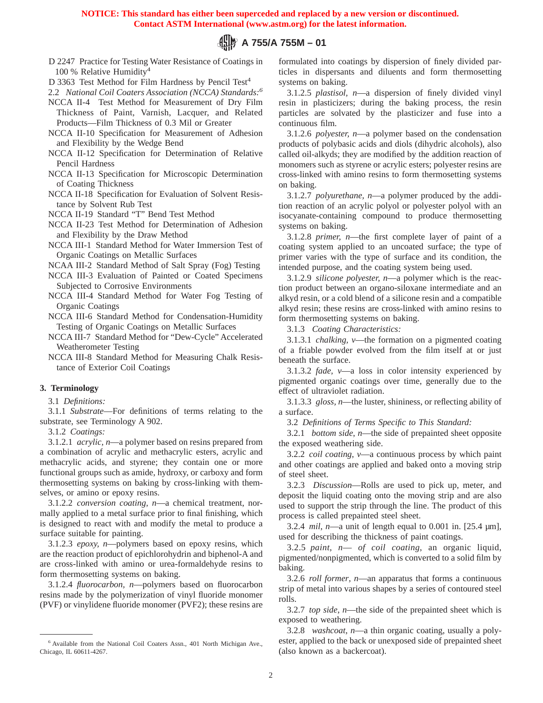**NOTICE: This standard has either been superceded and replaced by a new version or discontinued. Contact ASTM International (www.astm.org) for the latest information.** 

## **A 755/A 755M – 01**

D 2247 Practice for Testing Water Resistance of Coatings in 100 % Relative Humidity4

D 3363 Test Method for Film Hardness by Pencil Test<sup>4</sup>

2.2 *National Coil Coaters Association (NCCA) Standards:6*

NCCA II-4 Test Method for Measurement of Dry Film Thickness of Paint, Varnish, Lacquer, and Related Products—Film Thickness of 0.3 Mil or Greater

NCCA II-10 Specification for Measurement of Adhesion and Flexibility by the Wedge Bend

NCCA II-12 Specification for Determination of Relative Pencil Hardness

NCCA II-13 Specification for Microscopic Determination of Coating Thickness

NCCA II-18 Specification for Evaluation of Solvent Resistance by Solvent Rub Test

NCCA II-19 Standard "T" Bend Test Method

NCCA II-23 Test Method for Determination of Adhesion and Flexibility by the Draw Method

NCCA III-1 Standard Method for Water Immersion Test of Organic Coatings on Metallic Surfaces

NCAA III-2 Standard Method of Salt Spray (Fog) Testing

NCCA III-3 Evaluation of Painted or Coated Specimens Subjected to Corrosive Environments

NCCA III-4 Standard Method for Water Fog Testing of Organic Coatings

NCCA III-6 Standard Method for Condensation-Humidity Testing of Organic Coatings on Metallic Surfaces

NCCA III-7 Standard Method for "Dew-Cycle" Accelerated Weatherometer Testing

NCCA III-8 Standard Method for Measuring Chalk Resistance of Exterior Coil Coatings

#### **3. Terminology**

3.1 *Definitions:*

3.1.1 *Substrate*—For definitions of terms relating to the substrate, see Terminology A 902.

3.1.2 *Coatings:*

3.1.2.1 *acrylic, n*—a polymer based on resins prepared from a combination of acrylic and methacrylic esters, acrylic and methacrylic acids, and styrene; they contain one or more functional groups such as amide, hydroxy, or carboxy and form thermosetting systems on baking by cross-linking with themselves, or amino or epoxy resins.

3.1.2.2 *conversion coating, n*—a chemical treatment, normally applied to a metal surface prior to final finishing, which is designed to react with and modify the metal to produce a surface suitable for painting.

3.1.2.3 *epoxy, n*—polymers based on epoxy resins, which are the reaction product of epichlorohydrin and biphenol-A and are cross-linked with amino or urea-formaldehyde resins to form thermosetting systems on baking.

3.1.2.4 *fluorocarbon, n*—polymers based on fluorocarbon resins made by the polymerization of vinyl fluoride monomer (PVF) or vinylidene fluoride monomer (PVF2); these resins are formulated into coatings by dispersion of finely divided particles in dispersants and diluents and form thermosetting systems on baking.

3.1.2.5 *plastisol, n*—a dispersion of finely divided vinyl resin in plasticizers; during the baking process, the resin particles are solvated by the plasticizer and fuse into a continuous film.

3.1.2.6 *polyester, n*—a polymer based on the condensation products of polybasic acids and diols (dihydric alcohols), also called oil-alkyds; they are modified by the addition reaction of monomers such as styrene or acrylic esters; polyester resins are cross-linked with amino resins to form thermosetting systems on baking.

3.1.2.7 *polyurethane, n*—a polymer produced by the addition reaction of an acrylic polyol or polyester polyol with an isocyanate-containing compound to produce thermosetting systems on baking.

3.1.2.8 *primer, n*—the first complete layer of paint of a coating system applied to an uncoated surface; the type of primer varies with the type of surface and its condition, the intended purpose, and the coating system being used.

3.1.2.9 *silicone polyester, n*—a polymer which is the reaction product between an organo-siloxane intermediate and an alkyd resin, or a cold blend of a silicone resin and a compatible alkyd resin; these resins are cross-linked with amino resins to form thermosetting systems on baking.

3.1.3 *Coating Characteristics:*

3.1.3.1 *chalking, v*—the formation on a pigmented coating of a friable powder evolved from the film itself at or just beneath the surface.

3.1.3.2 *fade, v*—a loss in color intensity experienced by pigmented organic coatings over time, generally due to the effect of ultraviolet radiation.

3.1.3.3 *gloss, n*—the luster, shininess, or reflecting ability of a surface.

3.2 *Definitions of Terms Specific to This Standard:*

3.2.1 *bottom side*, *n*—the side of prepainted sheet opposite the exposed weathering side.

3.2.2 *coil coating*, *v*—a continuous process by which paint and other coatings are applied and baked onto a moving strip of steel sheet.

3.2.3 *Discussion*—Rolls are used to pick up, meter, and deposit the liquid coating onto the moving strip and are also used to support the strip through the line. The product of this process is called prepainted steel sheet.

3.2.4 *mil*, *n*—a unit of length equal to 0.001 in. [25.4 µm], used for describing the thickness of paint coatings.

3.2.5 *paint*, *n*— *of coil coating*, an organic liquid, pigmented/nonpigmented, which is converted to a solid film by baking.

3.2.6 *roll former*, *n*—an apparatus that forms a continuous strip of metal into various shapes by a series of contoured steel rolls.

3.2.7 *top side*, *n*—the side of the prepainted sheet which is exposed to weathering.

| 3.2.8 <i>washcoat, n</i> —a thin organic coating, usually a poly- |  |  |  |
|-------------------------------------------------------------------|--|--|--|
| ester, applied to the back or unexposed side of prepainted sheet  |  |  |  |
| (also known as a backercoat).                                     |  |  |  |

<sup>6</sup> Available from the National Coil Coaters Assn., 401 North Michigan Ave., Chicago, IL 60611-4267.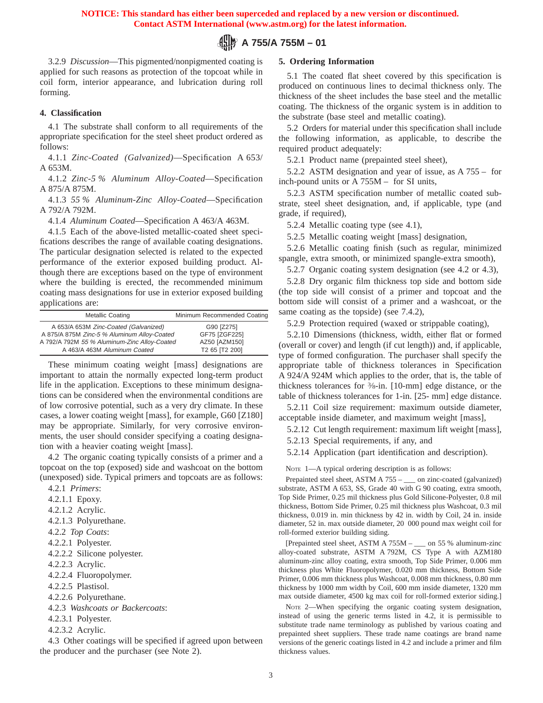## **A 755/A 755M – 01**

3.2.9 *Discussion*—This pigmented/nonpigmented coating is applied for such reasons as protection of the topcoat while in coil form, interior appearance, and lubrication during roll forming.

#### **4. Classification**

4.1 The substrate shall conform to all requirements of the appropriate specification for the steel sheet product ordered as follows:

4.1.1 *Zinc-Coated (Galvanized)*—Specification A 653/ A 653M.

4.1.2 *Zinc-5 % Aluminum Alloy-Coated*—Specification A 875/A 875M.

4.1.3 *55 % Aluminum-Zinc Alloy-Coated*—Specification A 792/A 792M.

4.1.4 *Aluminum Coated*—Specification A 463/A 463M.

4.1.5 Each of the above-listed metallic-coated sheet specifications describes the range of available coating designations. The particular designation selected is related to the expected performance of the exterior exposed building product. Although there are exceptions based on the type of environment where the building is erected, the recommended minimum coating mass designations for use in exterior exposed building applications are:

| Metallic Coating                             | Minimum Recommended Coating |
|----------------------------------------------|-----------------------------|
| A 653/A 653M Zinc-Coated (Galvanized)        | G90 [Z275]                  |
| A 875/A 875M Zinc-5 % Aluminum Alloy-Coated  | GF75 [ZGF225]               |
| A 792/A 792M 55 % Aluminum-Zinc Alloy-Coated | AZ50 [AZM150]               |
| A 463/A 463M Aluminum Coated                 | T2 65 [T2 200]              |

These minimum coating weight [mass] designations are important to attain the normally expected long-term product life in the application. Exceptions to these minimum designations can be considered when the environmental conditions are of low corrosive potential, such as a very dry climate. In these cases, a lower coating weight [mass], for example, G60 [Z180] may be appropriate. Similarly, for very corrosive environments, the user should consider specifying a coating designation with a heavier coating weight [mass].

4.2 The organic coating typically consists of a primer and a topcoat on the top (exposed) side and washcoat on the bottom (unexposed) side. Typical primers and topcoats are as follows:

- 4.2.1 *Primers*:
- 4.2.1.1 Epoxy.
- 4.2.1.2 Acrylic.
- 4.2.1.3 Polyurethane.
- 4.2.2 *Top Coats*:
- 4.2.2.1 Polyester.
- 4.2.2.2 Silicone polyester.
- 4.2.2.3 Acrylic.
- 4.2.2.4 Fluoropolymer.
- 4.2.2.5 Plastisol.
- 4.2.2.6 Polyurethane.
- 4.2.3 *Washcoats or Backercoats*:
- 4.2.3.1 Polyester.
- 4.2.3.2 Acrylic.

4.3 Other coatings will be specified if agreed upon between the producer and the purchaser (see Note 2).

### **5. Ordering Information**

5.1 The coated flat sheet covered by this specification is produced on continuous lines to decimal thickness only. The thickness of the sheet includes the base steel and the metallic coating. The thickness of the organic system is in addition to the substrate (base steel and metallic coating).

5.2 Orders for material under this specification shall include the following information, as applicable, to describe the required product adequately:

5.2.1 Product name (prepainted steel sheet),

5.2.2 ASTM designation and year of issue, as A 755 – for inch-pound units or A 755M – for SI units,

5.2.3 ASTM specification number of metallic coated substrate, steel sheet designation, and, if applicable, type (and grade, if required),

5.2.4 Metallic coating type (see 4.1),

5.2.5 Metallic coating weight [mass] designation,

5.2.6 Metallic coating finish (such as regular, minimized spangle, extra smooth, or minimized spangle-extra smooth),

5.2.7 Organic coating system designation (see 4.2 or 4.3),

5.2.8 Dry organic film thickness top side and bottom side (the top side will consist of a primer and topcoat and the bottom side will consist of a primer and a washcoat, or the same coating as the topside) (see 7.4.2),

5.2.9 Protection required (waxed or strippable coating),

5.2.10 Dimensions (thickness, width, either flat or formed (overall or cover) and length (if cut length)) and, if applicable, type of formed configuration. The purchaser shall specify the appropriate table of thickness tolerances in Specification A 924/A 924M which applies to the order, that is, the table of thickness tolerances for 3⁄8-in. [10-mm] edge distance, or the table of thickness tolerances for 1-in. [25- mm] edge distance.

5.2.11 Coil size requirement: maximum outside diameter, acceptable inside diameter, and maximum weight [mass],

5.2.12 Cut length requirement: maximum lift weight [mass],

5.2.13 Special requirements, if any, and

5.2.14 Application (part identification and description).

NOTE 1-A typical ordering description is as follows:

Prepainted steel sheet, ASTM A 755 – \_\_\_ on zinc-coated (galvanized) substrate, ASTM A 653, SS, Grade 40 with G 90 coating, extra smooth, Top Side Primer, 0.25 mil thickness plus Gold Silicone-Polyester, 0.8 mil thickness, Bottom Side Primer, 0.25 mil thickness plus Washcoat, 0.3 mil thickness, 0.019 in. min thickness by 42 in. width by Coil, 24 in. inside diameter, 52 in. max outside diameter, 20 000 pound max weight coil for roll-formed exterior building siding.

[Prepainted steel sheet, ASTM A 755M – \_\_\_ on 55 % aluminum-zinc alloy-coated substrate, ASTM A 792M, CS Type A with AZM180 aluminum-zinc alloy coating, extra smooth, Top Side Primer, 0.006 mm thickness plus White Fluoropolymer, 0.020 mm thickness, Bottom Side Primer, 0.006 mm thickness plus Washcoat, 0.008 mm thickness, 0.80 mm thickness by 1000 mm width by Coil, 600 mm inside diameter, 1320 mm max outside diameter, 4500 kg max coil for roll-formed exterior siding.]

NOTE 2—When specifying the organic coating system designation, instead of using the generic terms listed in 4.2, it is permissible to substitute trade name terminology as published by various coating and prepainted sheet suppliers. These trade name coatings are brand name versions of the generic coatings listed in 4.2 and include a primer and film thickness values.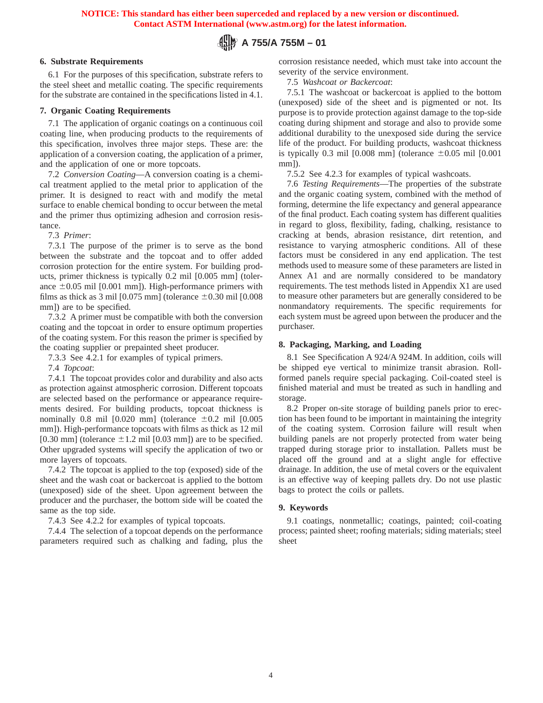# **A 755/A 755M – 01**

## **6. Substrate Requirements**

6.1 For the purposes of this specification, substrate refers to the steel sheet and metallic coating. The specific requirements for the substrate are contained in the specifications listed in 4.1.

## **7. Organic Coating Requirements**

7.1 The application of organic coatings on a continuous coil coating line, when producing products to the requirements of this specification, involves three major steps. These are: the application of a conversion coating, the application of a primer, and the application of one or more topcoats.

7.2 *Conversion Coating*—A conversion coating is a chemical treatment applied to the metal prior to application of the primer. It is designed to react with and modify the metal surface to enable chemical bonding to occur between the metal and the primer thus optimizing adhesion and corrosion resistance.

7.3 *Primer*:

7.3.1 The purpose of the primer is to serve as the bond between the substrate and the topcoat and to offer added corrosion protection for the entire system. For building products, primer thickness is typically 0.2 mil [0.005 mm] (tolerance  $\pm 0.05$  mil [0.001 mm]). High-performance primers with films as thick as 3 mil  $[0.075 \text{ mm}]$  (tolerance  $\pm 0.30 \text{ mi}$  [0.008 mm]) are to be specified.

7.3.2 A primer must be compatible with both the conversion coating and the topcoat in order to ensure optimum properties of the coating system. For this reason the primer is specified by the coating supplier or prepainted sheet producer.

7.3.3 See 4.2.1 for examples of typical primers.

7.4 *Topcoat*:

7.4.1 The topcoat provides color and durability and also acts as protection against atmospheric corrosion. Different topcoats are selected based on the performance or appearance requirements desired. For building products, topcoat thickness is nominally 0.8 mil  $[0.020 \text{ mm}]$  (tolerance  $\pm 0.2 \text{ mi}$   $[0.005$ mm]). High-performance topcoats with films as thick as 12 mil [0.30 mm] (tolerance  $\pm 1.2$  mil [0.03 mm]) are to be specified. Other upgraded systems will specify the application of two or more layers of topcoats.

7.4.2 The topcoat is applied to the top (exposed) side of the sheet and the wash coat or backercoat is applied to the bottom (unexposed) side of the sheet. Upon agreement between the producer and the purchaser, the bottom side will be coated the same as the top side.

7.4.3 See 4.2.2 for examples of typical topcoats.

7.4.4 The selection of a topcoat depends on the performance parameters required such as chalking and fading, plus the corrosion resistance needed, which must take into account the severity of the service environment.

7.5 *Washcoat or Backercoat*:

7.5.1 The washcoat or backercoat is applied to the bottom (unexposed) side of the sheet and is pigmented or not. Its purpose is to provide protection against damage to the top-side coating during shipment and storage and also to provide some additional durability to the unexposed side during the service life of the product. For building products, washcoat thickness is typically 0.3 mil  $[0.008 \text{ mm}]$  (tolerance  $\pm 0.05 \text{ mi}$   $[0.001$ mm]).

7.5.2 See 4.2.3 for examples of typical washcoats.

7.6 *Testing Requirements*—The properties of the substrate and the organic coating system, combined with the method of forming, determine the life expectancy and general appearance of the final product. Each coating system has different qualities in regard to gloss, flexibility, fading, chalking, resistance to cracking at bends, abrasion resistance, dirt retention, and resistance to varying atmospheric conditions. All of these factors must be considered in any end application. The test methods used to measure some of these parameters are listed in Annex A1 and are normally considered to be mandatory requirements. The test methods listed in Appendix X1 are used to measure other parameters but are generally considered to be nonmandatory requirements. The specific requirements for each system must be agreed upon between the producer and the purchaser.

## **8. Packaging, Marking, and Loading**

8.1 See Specification A 924/A 924M. In addition, coils will be shipped eye vertical to minimize transit abrasion. Rollformed panels require special packaging. Coil-coated steel is finished material and must be treated as such in handling and storage.

8.2 Proper on-site storage of building panels prior to erection has been found to be important in maintaining the integrity of the coating system. Corrosion failure will result when building panels are not properly protected from water being trapped during storage prior to installation. Pallets must be placed off the ground and at a slight angle for effective drainage. In addition, the use of metal covers or the equivalent is an effective way of keeping pallets dry. Do not use plastic bags to protect the coils or pallets.

## **9. Keywords**

9.1 coatings, nonmetallic; coatings, painted; coil-coating process; painted sheet; roofing materials; siding materials; steel sheet